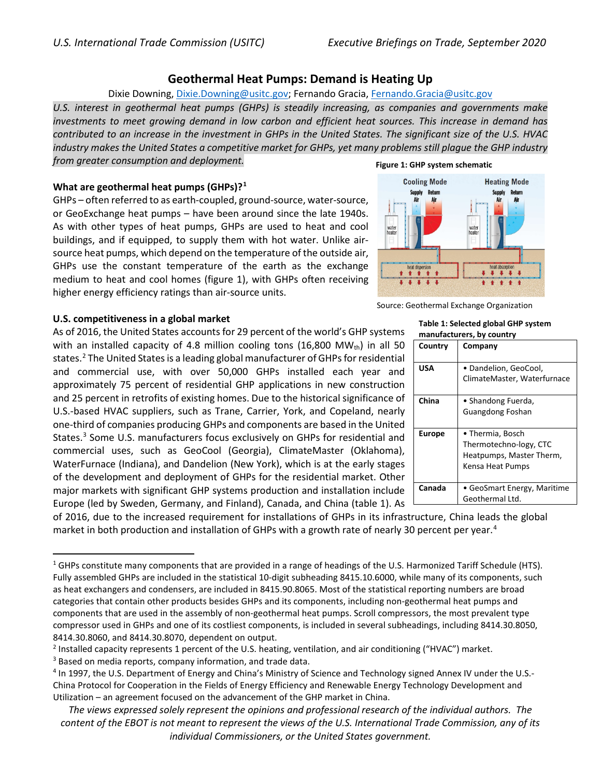# **Geothermal Heat Pumps: Demand is Heating Up**

## Dixie Downing, [Dixie.Downing@usitc.gov;](mailto:Dixie.Downing@usitc.gov) Fernando Gracia, [Fernando.Gracia@usitc.gov](mailto:Fernando.Gracia@usitc.gov)

*U.S. interest in geothermal heat pumps (GHPs) is steadily increasing, as companies and governments make investments to meet growing demand in low carbon and efficient heat sources. This increase in demand has contributed to an increase in the investment in GHPs in the United States. The significant size of the U.S. HVAC industry makes the United States a competitive market for GHPs, yet many problems still plague the GHP industry from greater consumption and deployment.*

## **What are geothermal heat pumps (GHPs)?[1](#page-0-0)**

GHPs – often referred to as earth-coupled, ground-source, water-source, or GeoExchange heat pumps – have been around since the late 1940s. As with other types of heat pumps, GHPs are used to heat and cool buildings, and if equipped, to supply them with hot water. Unlike airsource heat pumps, which depend on the temperature of the outside air, GHPs use the constant temperature of the earth as the exchange medium to heat and cool homes (figure 1), with GHPs often receiving higher energy efficiency ratings than air-source units.

## **U.S. competitiveness in a global market**

As of 2016, the United States accounts for 29 percent of the world's GHP systems with an installed capacity of 4.8 million cooling tons (16,800 MW $_{\text{th}}$ ) in all 50 states.<sup>[2](#page-0-1)</sup> The United States is a leading global manufacturer of GHPs for residential and commercial use, with over 50,000 GHPs installed each year and approximately 75 percent of residential GHP applications in new construction and 25 percent in retrofits of existing homes. Due to the historical significance of U.S.-based HVAC suppliers, such as Trane, Carrier, York, and Copeland, nearly one-third of companies producing GHPs and components are based in the United States.<sup>[3](#page-0-2)</sup> Some U.S. manufacturers focus exclusively on GHPs for residential and commercial uses, such as GeoCool (Georgia), ClimateMaster (Oklahoma), WaterFurnace (Indiana), and Dandelion (New York), which is at the early stages of the development and deployment of GHPs for the residential market. Other major markets with significant GHP systems production and installation include Europe (led by Sweden, Germany, and Finland), Canada, and China (table 1). As

of 2016, due to the increased requirement for installations of GHPs in its infrastructure, China leads the global market in both production and installation of GHPs with a growth rate of nearly 30 percent per year. [4](#page-0-3)

#### **Figure 1: GHP system schematic**



Source: Geothermal Exchange Organization

#### **Table 1: Selected global GHP system manufacturers, by country**

| Country       | Company                                                                                    |
|---------------|--------------------------------------------------------------------------------------------|
| <b>USA</b>    | • Dandelion, GeoCool,<br>ClimateMaster, Waterfurnace                                       |
| China         | • Shandong Fuerda,<br><b>Guangdong Foshan</b>                                              |
| <b>Europe</b> | • Thermia, Bosch<br>Thermotechno-logy, CTC<br>Heatpumps, Master Therm,<br>Kensa Heat Pumps |
| Canada        | • GeoSmart Energy, Maritime<br>Geothermal Ltd.                                             |

<span id="page-0-0"></span> $1$  GHPs constitute many components that are provided in a range of headings of the U.S. Harmonized Tariff Schedule (HTS). Fully assembled GHPs are included in the statistical 10-digit subheading 8415.10.6000, while many of its components, such as heat exchangers and condensers, are included in 8415.90.8065. Most of the statistical reporting numbers are broad categories that contain other products besides GHPs and its components, including non-geothermal heat pumps and  components that are used in the assembly of non-geothermal heat pumps. Scroll compressors, the most prevalent type compressor used in GHPs and one of its costliest components, is included in several subheadings, including 8414.30.8050, 8414.30.8060, and 8414.30.8070, dependent on output.

<span id="page-0-2"></span><span id="page-0-1"></span><sup>&</sup>lt;sup>2</sup> Installed capacity represents 1 percent of the U.S. heating, ventilation, and air conditioning ("HVAC") market.  $3$  Based on media reports, company information, and trade data.

<span id="page-0-3"></span><sup>4</sup> In 1997, the U.S. Department of Energy and China's Ministry of Science and Technology signed Annex IV under the U.S.- China Protocol for Cooperation in the Fields of Energy Efficiency and Renewable Energy Technology Development and Utilization – an agreement focused on the advancement of the GHP market in China.

*The views expressed solely represent the opinions and professional research of the individual authors. The content of the EBOT is not meant to represent the views of the U.S. International Trade Commission, any of its individual Commissioners, or the United States government.*